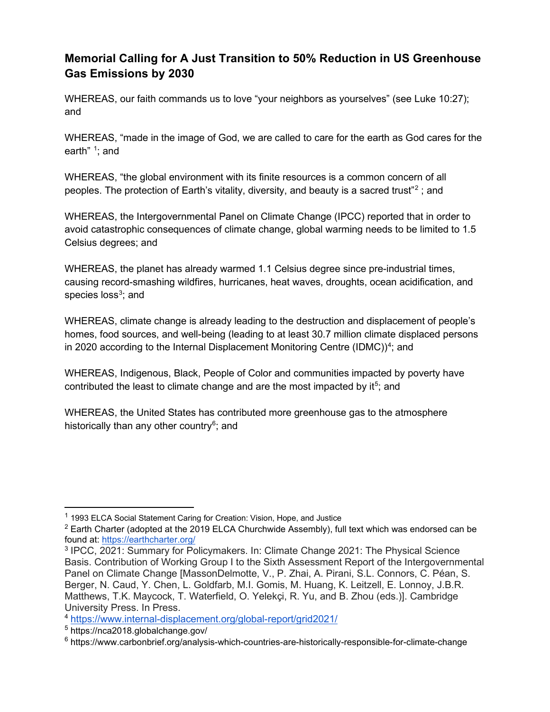## **Memorial Calling for A Just Transition to 50% Reduction in US Greenhouse Gas Emissions by 2030**

WHEREAS, our faith commands us to love "your neighbors as yourselves" (see Luke 10:27); and

WHEREAS, "made in the image of God, we are called to care for the earth as God cares for the earth" <sup>[1](#page-0-0)</sup>; and

WHEREAS, "the global environment with its finite resources is a common concern of all peoples. The protection of Earth's vitality, diversity, and beauty is a sacred trust"[2](#page-0-1) ; and

WHEREAS, the Intergovernmental Panel on Climate Change (IPCC) reported that in order to avoid catastrophic consequences of climate change, global warming needs to be limited to 1.5 Celsius degrees; and

WHEREAS, the planet has already warmed 1.1 Celsius degree since pre-industrial times, causing record-smashing wildfires, hurricanes, heat waves, droughts, ocean acidification, and species loss $^3\!;$  $^3\!;$  $^3\!;$  and

WHEREAS, climate change is already leading to the destruction and displacement of people's homes, food sources, and well-being (leading to at least 30.7 million climate displaced persons in 2020 according to the Internal Displacement Monitoring Centre (IDMC)) $^4$  $^4$ ; and

WHEREAS, Indigenous, Black, People of Color and communities impacted by poverty have contributed the least to climate change and are the most impacted by it<sup>[5](#page-0-4)</sup>; and

WHEREAS, the United States has contributed more greenhouse gas to the atmosphere historically than any other country<sup>6</sup>; and

<span id="page-0-0"></span><sup>&</sup>lt;sup>1</sup> 1993 ELCA Social Statement Caring for Creation: Vision, Hope, and Justice

<span id="page-0-1"></span> $2$  Earth Charter (adopted at the 2019 ELCA Churchwide Assembly), full text which was endorsed can be found at: <https://earthcharter.org/>

<span id="page-0-2"></span><sup>3</sup> IPCC, 2021: Summary for Policymakers. In: Climate Change 2021: The Physical Science Basis. Contribution of Working Group I to the Sixth Assessment Report of the Intergovernmental Panel on Climate Change [MassonDelmotte, V., P. Zhai, A. Pirani, S.L. Connors, C. Péan, S. Berger, N. Caud, Y. Chen, L. Goldfarb, M.I. Gomis, M. Huang, K. Leitzell, E. Lonnoy, J.B.R. Matthews, T.K. Maycock, T. Waterfield, O. Yelekçi, R. Yu, and B. Zhou (eds.)]. Cambridge University Press. In Press.

<span id="page-0-3"></span><sup>4</sup> <https://www.internal-displacement.org/global-report/grid2021/>

<span id="page-0-4"></span><sup>5</sup> https://nca2018.globalchange.gov/

<span id="page-0-5"></span> $6$  https://www.carbonbrief.org/analysis-which-countries-are-historically-responsible-for-climate-change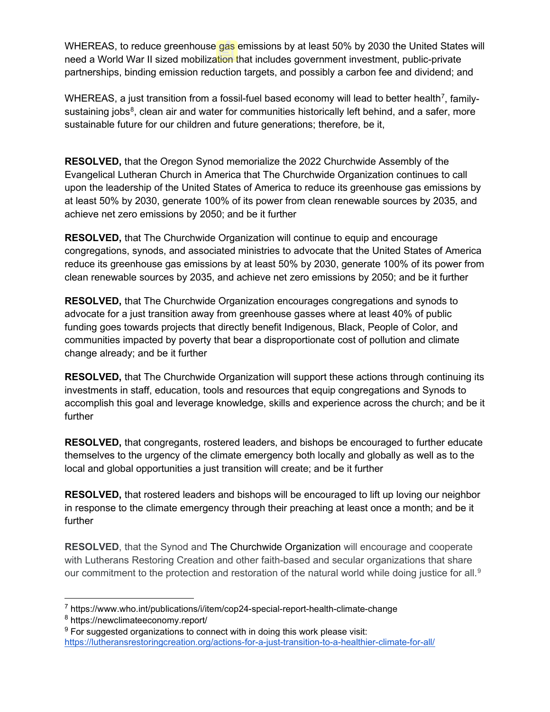WHEREAS, to reduce greenhouse gas emissions by at least 50% by 2030 the United States will need a World War II sized mobilization that includes government investment, public-private partnerships, binding emission reduction targets, and possibly a carbon fee and dividend; and

WHEREAS, a just transition from a fossil-fuel based economy will lead to better health<sup>7</sup>, family-sustaining jobs<sup>[8](#page-1-1)</sup>, clean air and water for communities historically left behind, and a safer, more sustainable future for our children and future generations; therefore, be it,

**RESOLVED,** that the Oregon Synod memorialize the 2022 Churchwide Assembly of the Evangelical Lutheran Church in America that The Churchwide Organization continues to call upon the leadership of the United States of America to reduce its greenhouse gas emissions by at least 50% by 2030, generate 100% of its power from clean renewable sources by 2035, and achieve net zero emissions by 2050; and be it further

**RESOLVED,** that The Churchwide Organization will continue to equip and encourage congregations, synods, and associated ministries to advocate that the United States of America reduce its greenhouse gas emissions by at least 50% by 2030, generate 100% of its power from clean renewable sources by 2035, and achieve net zero emissions by 2050; and be it further

**RESOLVED,** that The Churchwide Organization encourages congregations and synods to advocate for a just transition away from greenhouse gasses where at least 40% of public funding goes towards projects that directly benefit Indigenous, Black, People of Color, and communities impacted by poverty that bear a disproportionate cost of pollution and climate change already; and be it further

**RESOLVED,** that The Churchwide Organization will support these actions through continuing its investments in staff, education, tools and resources that equip congregations and Synods to accomplish this goal and leverage knowledge, skills and experience across the church; and be it further

**RESOLVED,** that congregants, rostered leaders, and bishops be encouraged to further educate themselves to the urgency of the climate emergency both locally and globally as well as to the local and global opportunities a just transition will create; and be it further

**RESOLVED,** that rostered leaders and bishops will be encouraged to lift up loving our neighbor in response to the climate emergency through their preaching at least once a month; and be it further

**RESOLVED**, that the Synod and The Churchwide Organization will encourage and cooperate with Lutherans Restoring Creation and other faith-based and secular organizations that share our commitment to the protection and restoration of the natural world while doing justice for all.<sup>[9](#page-1-2)</sup>

<span id="page-1-0"></span><sup>7</sup> https://www.who.int/publications/i/item/cop24-special-report-health-climate-change

<span id="page-1-1"></span><sup>8</sup> https://newclimateeconomy.report/

<span id="page-1-2"></span> $9$  For suggested organizations to connect with in doing this work please visit: <https://lutheransrestoringcreation.org/actions-for-a-just-transition-to-a-healthier-climate-for-all/>